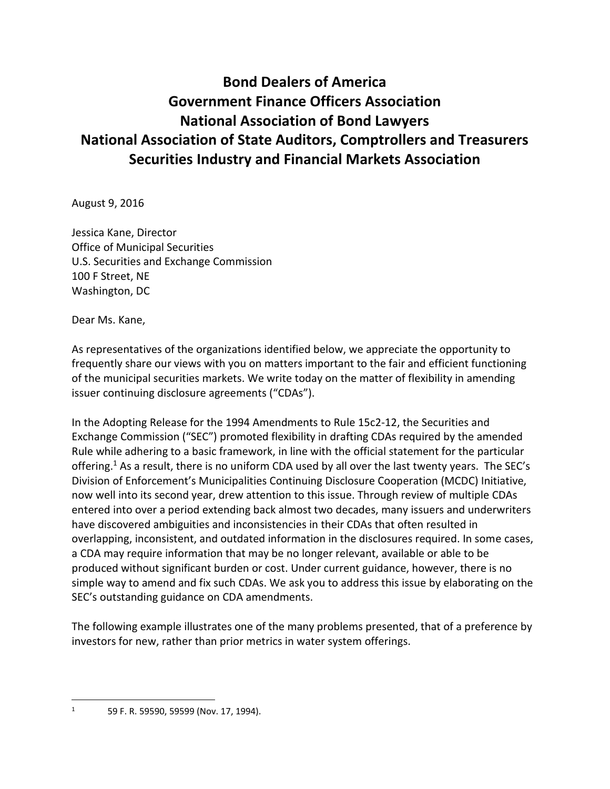## **Bond Dealers of America Government Finance Officers Association National Association of Bond Lawyers National Association of State Auditors, Comptrollers and Treasurers Securities Industry and Financial Markets Association**

August 9, 2016

Jessica Kane, Director Office of Municipal Securities U.S. Securities and Exchange Commission 100 F Street, NE Washington, DC

Dear Ms. Kane,

As representatives of the organizations identified below, we appreciate the opportunity to frequently share our views with you on matters important to the fair and efficient functioning of the municipal securities markets. We write today on the matter of flexibility in amending issuer continuing disclosure agreements ("CDAs").

In the Adopting Release for the 1994 Amendments to Rule 15c2-12, the Securities and Exchange Commission ("SEC") promoted flexibility in drafting CDAs required by the amended Rule while adhering to a basic framework, in line with the official statement for the particular offering.<sup>1</sup> As a result, there is no uniform CDA used by all over the last twenty years. The SEC's Division of Enforcement's Municipalities Continuing Disclosure Cooperation (MCDC) Initiative, now well into its second year, drew attention to this issue. Through review of multiple CDAs entered into over a period extending back almost two decades, many issuers and underwriters have discovered ambiguities and inconsistencies in their CDAs that often resulted in overlapping, inconsistent, and outdated information in the disclosures required. In some cases, a CDA may require information that may be no longer relevant, available or able to be produced without significant burden or cost. Under current guidance, however, there is no simple way to amend and fix such CDAs. We ask you to address this issue by elaborating on the SEC's outstanding guidance on CDA amendments.

The following example illustrates one of the many problems presented, that of a preference by investors for new, rather than prior metrics in water system offerings.

 $\overline{\phantom{a}}$ 

 $1$  59 F. R. 59590, 59599 (Nov. 17, 1994).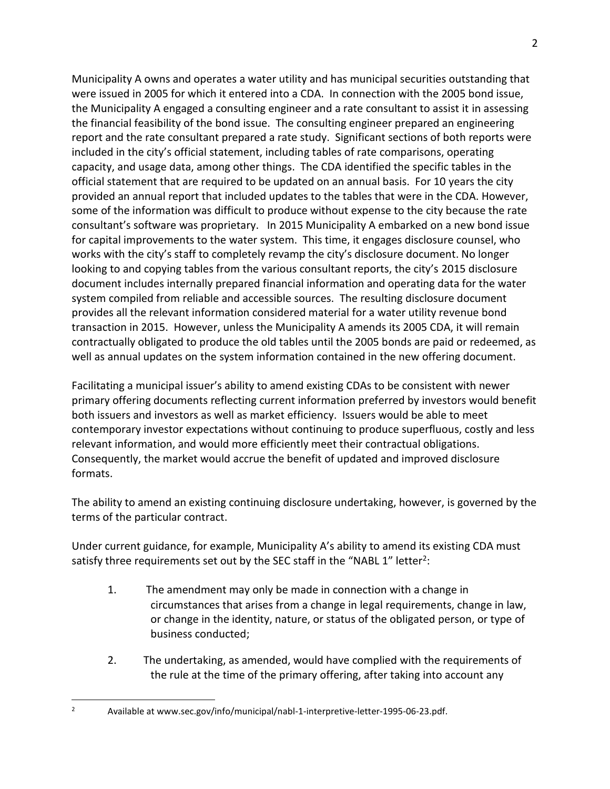Municipality A owns and operates a water utility and has municipal securities outstanding that were issued in 2005 for which it entered into a CDA. In connection with the 2005 bond issue, the Municipality A engaged a consulting engineer and a rate consultant to assist it in assessing the financial feasibility of the bond issue. The consulting engineer prepared an engineering report and the rate consultant prepared a rate study. Significant sections of both reports were included in the city's official statement, including tables of rate comparisons, operating capacity, and usage data, among other things. The CDA identified the specific tables in the official statement that are required to be updated on an annual basis. For 10 years the city provided an annual report that included updates to the tables that were in the CDA. However, some of the information was difficult to produce without expense to the city because the rate consultant's software was proprietary. In 2015 Municipality A embarked on a new bond issue for capital improvements to the water system. This time, it engages disclosure counsel, who works with the city's staff to completely revamp the city's disclosure document. No longer looking to and copying tables from the various consultant reports, the city's 2015 disclosure document includes internally prepared financial information and operating data for the water system compiled from reliable and accessible sources. The resulting disclosure document provides all the relevant information considered material for a water utility revenue bond transaction in 2015. However, unless the Municipality A amends its 2005 CDA, it will remain contractually obligated to produce the old tables until the 2005 bonds are paid or redeemed, as well as annual updates on the system information contained in the new offering document.

Facilitating a municipal issuer's ability to amend existing CDAs to be consistent with newer primary offering documents reflecting current information preferred by investors would benefit both issuers and investors as well as market efficiency. Issuers would be able to meet contemporary investor expectations without continuing to produce superfluous, costly and less relevant information, and would more efficiently meet their contractual obligations. Consequently, the market would accrue the benefit of updated and improved disclosure formats.

The ability to amend an existing continuing disclosure undertaking, however, is governed by the terms of the particular contract.

Under current guidance, for example, Municipality A's ability to amend its existing CDA must satisfy three requirements set out by the SEC staff in the "NABL 1" letter<sup>2</sup>:

- 1. The amendment may only be made in connection with a change in circumstances that arises from a change in legal requirements, change in law, or change in the identity, nature, or status of the obligated person, or type of business conducted;
- 2. The undertaking, as amended, would have complied with the requirements of the rule at the time of the primary offering, after taking into account any

 $\overline{\phantom{a}}$ <sup>2</sup> Available at www.sec.gov/info/municipal/nabl-1-interpretive-letter-1995-06-23.pdf.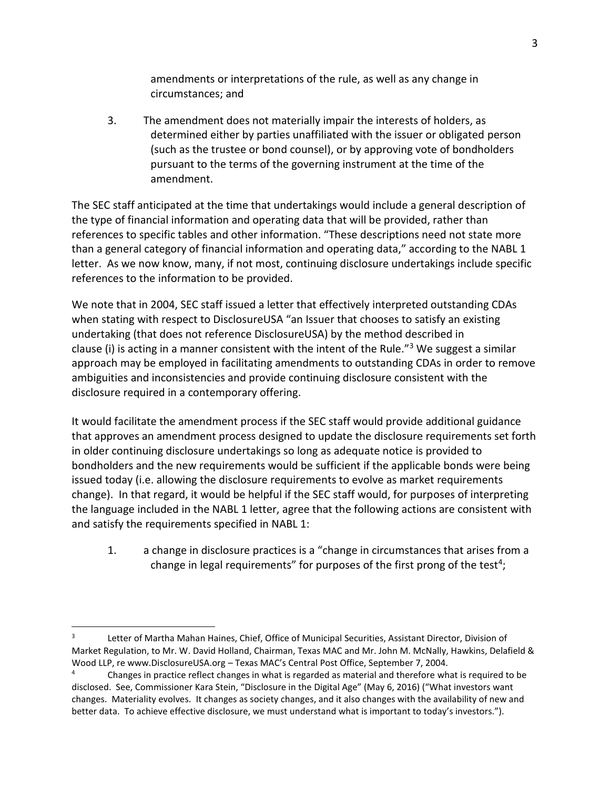amendments or interpretations of the rule, as well as any change in circumstances; and

3. The amendment does not materially impair the interests of holders, as determined either by parties unaffiliated with the issuer or obligated person (such as the trustee or bond counsel), or by approving vote of bondholders pursuant to the terms of the governing instrument at the time of the amendment.

The SEC staff anticipated at the time that undertakings would include a general description of the type of financial information and operating data that will be provided, rather than references to specific tables and other information. "These descriptions need not state more than a general category of financial information and operating data," according to the NABL 1 letter. As we now know, many, if not most, continuing disclosure undertakings include specific references to the information to be provided.

We note that in 2004, SEC staff issued a letter that effectively interpreted outstanding CDAs when stating with respect to DisclosureUSA "an Issuer that chooses to satisfy an existing undertaking (that does not reference DisclosureUSA) by the method described in clause (i) is acting in a manner consistent with the intent of the Rule."<sup>3</sup> We suggest a similar approach may be employed in facilitating amendments to outstanding CDAs in order to remove ambiguities and inconsistencies and provide continuing disclosure consistent with the disclosure required in a contemporary offering.

It would facilitate the amendment process if the SEC staff would provide additional guidance that approves an amendment process designed to update the disclosure requirements set forth in older continuing disclosure undertakings so long as adequate notice is provided to bondholders and the new requirements would be sufficient if the applicable bonds were being issued today (i.e. allowing the disclosure requirements to evolve as market requirements change). In that regard, it would be helpful if the SEC staff would, for purposes of interpreting the language included in the NABL 1 letter, agree that the following actions are consistent with and satisfy the requirements specified in NABL 1:

1. a change in disclosure practices is a "change in circumstances that arises from a change in legal requirements" for purposes of the first prong of the test<sup>4</sup>;

 $\overline{\phantom{a}}$ 

<sup>3</sup> Letter of Martha Mahan Haines, Chief, Office of Municipal Securities, Assistant Director, Division of Market Regulation, to Mr. W. David Holland, Chairman, Texas MAC and Mr. John M. McNally, Hawkins, Delafield & Wood LLP, re www.DisclosureUSA.org – Texas MAC's Central Post Office, September 7, 2004.

<sup>&</sup>lt;sup>4</sup> Changes in practice reflect changes in what is regarded as material and therefore what is required to be disclosed. See, Commissioner Kara Stein, "Disclosure in the Digital Age" (May 6, 2016) ("What investors want changes. Materiality evolves. It changes as society changes, and it also changes with the availability of new and better data. To achieve effective disclosure, we must understand what is important to today's investors.").